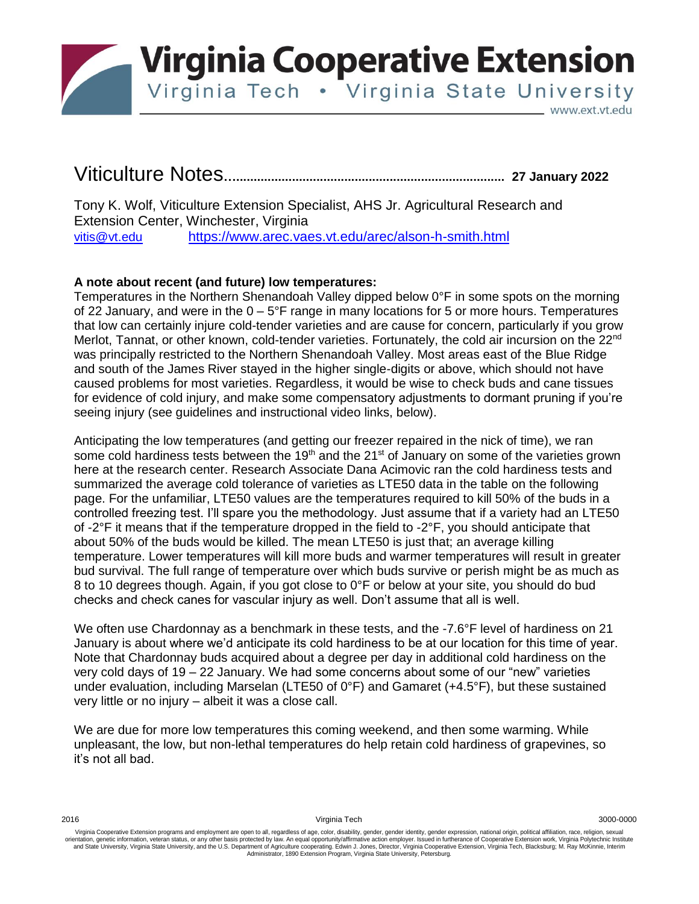

**Virginia Cooperative Extension** 

Virginia Tech . Virginia State University

www.ext.vt.edu

## Viticulture Notes**…............................................................................. 27 January <sup>2022</sup>**

Tony K. Wolf, Viticulture Extension Specialist, AHS Jr. Agricultural Research and Extension Center, Winchester, Virginia [vitis@vt.edu](mailto:vitis@vt.edu) <https://www.arec.vaes.vt.edu/arec/alson-h-smith.html>

## **A note about recent (and future) low temperatures:**

Temperatures in the Northern Shenandoah Valley dipped below 0°F in some spots on the morning of 22 January, and were in the  $0 - 5^{\circ}F$  range in many locations for 5 or more hours. Temperatures that low can certainly injure cold-tender varieties and are cause for concern, particularly if you grow Merlot, Tannat, or other known, cold-tender varieties. Fortunately, the cold air incursion on the 22<sup>nd</sup> was principally restricted to the Northern Shenandoah Valley. Most areas east of the Blue Ridge and south of the James River stayed in the higher single-digits or above, which should not have caused problems for most varieties. Regardless, it would be wise to check buds and cane tissues for evidence of cold injury, and make some compensatory adjustments to dormant pruning if you're seeing injury (see guidelines and instructional video links, below).

Anticipating the low temperatures (and getting our freezer repaired in the nick of time), we ran some cold hardiness tests between the 19<sup>th</sup> and the 21<sup>st</sup> of January on some of the varieties grown here at the research center. Research Associate Dana Acimovic ran the cold hardiness tests and summarized the average cold tolerance of varieties as LTE50 data in the table on the following page. For the unfamiliar, LTE50 values are the temperatures required to kill 50% of the buds in a controlled freezing test. I'll spare you the methodology. Just assume that if a variety had an LTE50 of  $-2^{\circ}$ F it means that if the temperature dropped in the field to  $-2^{\circ}$ F, you should anticipate that about 50% of the buds would be killed. The mean LTE50 is just that; an average killing temperature. Lower temperatures will kill more buds and warmer temperatures will result in greater bud survival. The full range of temperature over which buds survive or perish might be as much as 8 to 10 degrees though. Again, if you got close to 0°F or below at your site, you should do bud checks and check canes for vascular injury as well. Don't assume that all is well.

We often use Chardonnay as a benchmark in these tests, and the -7.6°F level of hardiness on 21 January is about where we'd anticipate its cold hardiness to be at our location for this time of year. Note that Chardonnay buds acquired about a degree per day in additional cold hardiness on the very cold days of 19 – 22 January. We had some concerns about some of our "new" varieties under evaluation, including Marselan (LTE50 of 0°F) and Gamaret (+4.5°F), but these sustained very little or no injury – albeit it was a close call.

We are due for more low temperatures this coming weekend, and then some warming. While unpleasant, the low, but non-lethal temperatures do help retain cold hardiness of grapevines, so it's not all bad.

2016 Virginia Tech 3000-0000

Virginia Cooperative Extension programs and employment are open to all, regardless of age, color, disability, gender, gender identity, gender expression, national origin, political affiliation, race, religion, sexual orientation, genetic information, veteran status, or any other basis protected by law. An equal opportunity/affirmative action employer. Issued in furtherance of Cooperative Extension work, Virginia Polytechnic Institute I Administrator, 1890 Extension Program, Virginia State University, Petersburg.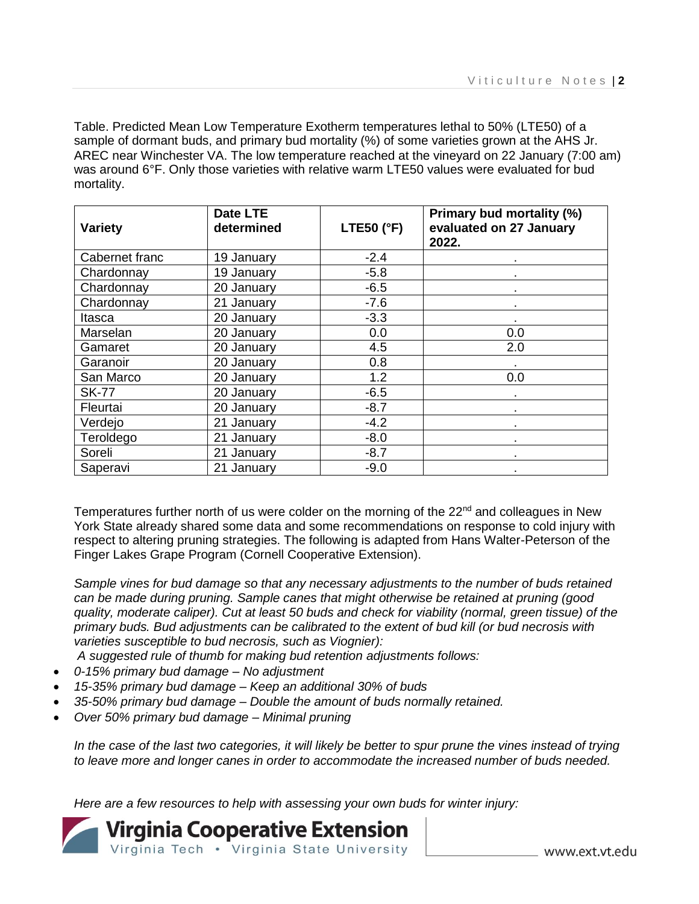Table. Predicted Mean Low Temperature Exotherm temperatures lethal to 50% (LTE50) of a sample of dormant buds, and primary bud mortality (%) of some varieties grown at the AHS Jr. AREC near Winchester VA. The low temperature reached at the vineyard on 22 January (7:00 am) was around 6°F. Only those varieties with relative warm LTE50 values were evaluated for bud mortality.

| Variety        | Date LTE<br>determined | <b>LTE50 (°F)</b> | Primary bud mortality (%)<br>evaluated on 27 January<br>2022. |
|----------------|------------------------|-------------------|---------------------------------------------------------------|
| Cabernet franc | 19 January             | $-2.4$            |                                                               |
| Chardonnay     | 19 January             | $-5.8$            |                                                               |
| Chardonnay     | 20 January             | $-6.5$            |                                                               |
| Chardonnay     | 21 January             | $-7.6$            |                                                               |
| Itasca         | 20 January             | $-3.3$            |                                                               |
| Marselan       | 20 January             | 0.0               | 0.0                                                           |
| Gamaret        | 20 January             | 4.5               | 2.0                                                           |
| Garanoir       | 20 January             | 0.8               |                                                               |
| San Marco      | 20 January             | 1.2               | 0.0                                                           |
| <b>SK-77</b>   | 20 January             | $-6.5$            |                                                               |
| Fleurtai       | 20 January             | $-8.7$            |                                                               |
| Verdejo        | 21 January             | $-4.2$            |                                                               |
| Teroldego      | 21 January             | $-8.0$            |                                                               |
| Soreli         | 21 January             | $-8.7$            |                                                               |
| Saperavi       | 21 January             | $-9.0$            |                                                               |

Temperatures further north of us were colder on the morning of the 22<sup>nd</sup> and colleagues in New York State already shared some data and some recommendations on response to cold injury with respect to altering pruning strategies. The following is adapted from Hans Walter-Peterson of the Finger Lakes Grape Program (Cornell Cooperative Extension).

*Sample vines for bud damage so that any necessary adjustments to the number of buds retained can be made during pruning. Sample canes that might otherwise be retained at pruning (good quality, moderate caliper). Cut at least 50 buds and check for viability (normal, green tissue) of the primary buds. Bud adjustments can be calibrated to the extent of bud kill (or bud necrosis with varieties susceptible to bud necrosis, such as Viognier):* 

*A suggested rule of thumb for making bud retention adjustments follows:*

- *0-15% primary bud damage – No adjustment*
- *15-35% primary bud damage – Keep an additional 30% of buds*
- *35-50% primary bud damage – Double the amount of buds normally retained.*
- *Over 50% primary bud damage – Minimal pruning*

*In the case of the last two categories, it will likely be better to spur prune the vines instead of trying to leave more and longer canes in order to accommodate the increased number of buds needed.*

*Here are a few resources to help with assessing your own buds for winter injury:*